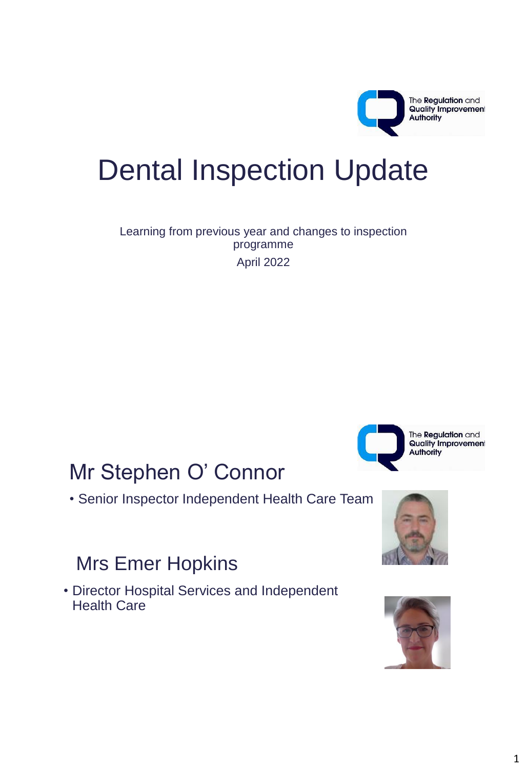

# Dental Inspection Update

Learning from previous year and changes to inspection programme April 2022

## Mr Stephen O' Connor

• Senior Inspector Independent Health Care Team

#### Mrs Emer Hopkins

• Director Hospital Services and Independent Health Care





The **Regulation** and

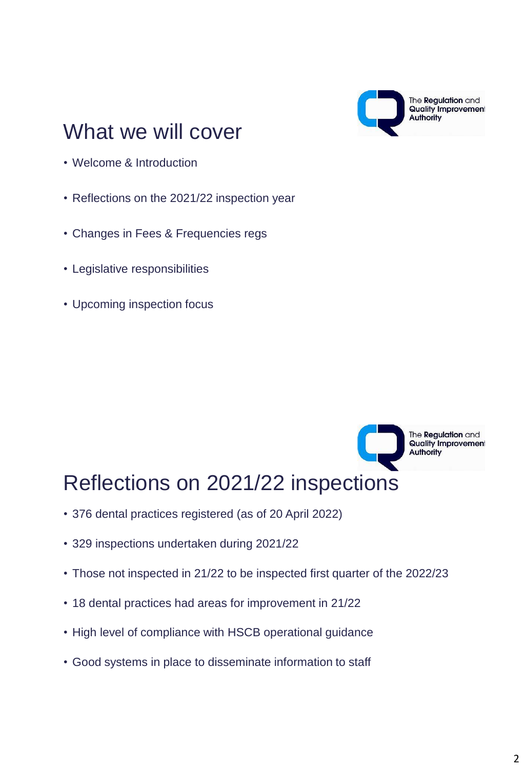

# What we will cover

- Welcome & Introduction
- Reflections on the 2021/22 inspection year
- Changes in Fees & Frequencies regs
- Legislative responsibilities
- Upcoming inspection focus



## Reflections on 2021/22 inspections

- 376 dental practices registered (as of 20 April 2022)
- 329 inspections undertaken during 2021/22
- Those not inspected in 21/22 to be inspected first quarter of the 2022/23
- 18 dental practices had areas for improvement in 21/22
- High level of compliance with HSCB operational guidance
- Good systems in place to disseminate information to staff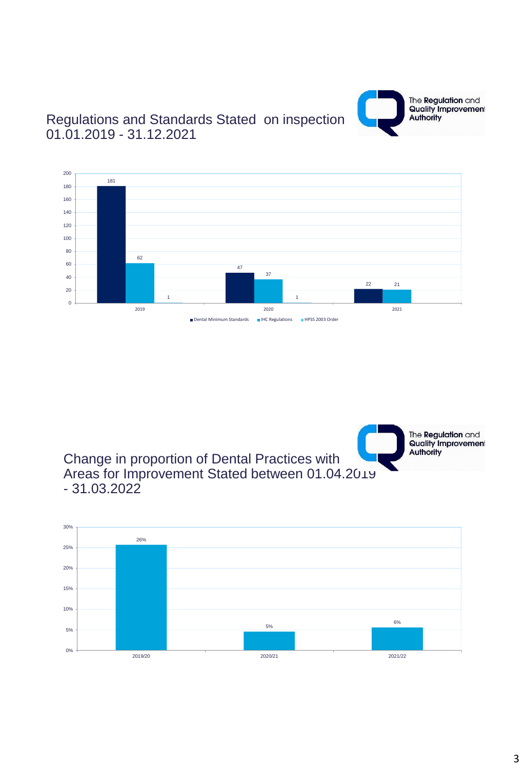

#### Regulations and Standards Stated on inspection 01.01.2019 - 31.12.2021



Change in proportion of Dental Practices with Areas for Improvement Stated between 01.04.2019 - 31.03.2022

The **Regulation** and **Quality Improvement Authority** 

#### 26% 5% 6%  $0%$ 5% 10% 15% 20% 25% 30% 2019/20 2020/21 2021/22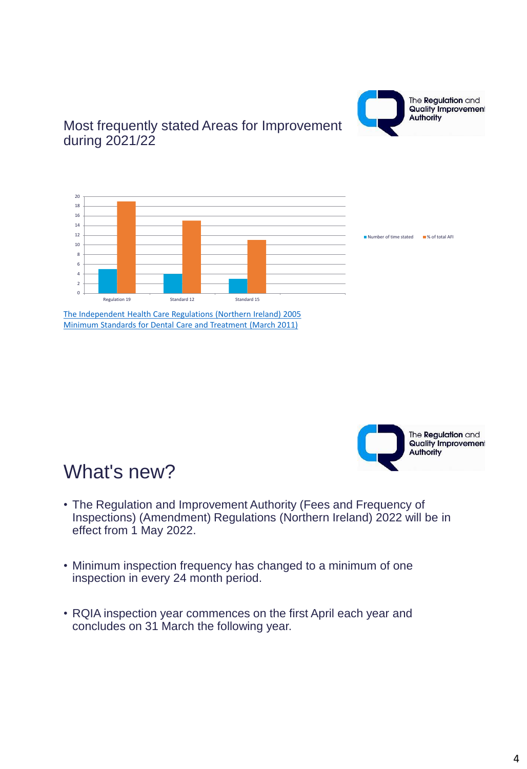

#### Most frequently stated Areas for Improvement during 2021/22



[The Independent Health Care Regulations \(Northern Ireland\) 2005](https://www.legislation.gov.uk/nisr/2005/174/pdfs/nisr_20050174_en.pdf) [Minimum Standards for Dental Care and Treatment \(March 2011\)](https://www.rqia.org.uk/RQIA/media/RQIA/Resources/Standards/Min_Stds_Dental_Mar11.pdf)



#### What's new?

- The Regulation and Improvement Authority (Fees and Frequency of Inspections) (Amendment) Regulations (Northern Ireland) 2022 will be in effect from 1 May 2022.
- Minimum inspection frequency has changed to a minimum of one inspection in every 24 month period.
- RQIA inspection year commences on the first April each year and concludes on 31 March the following year.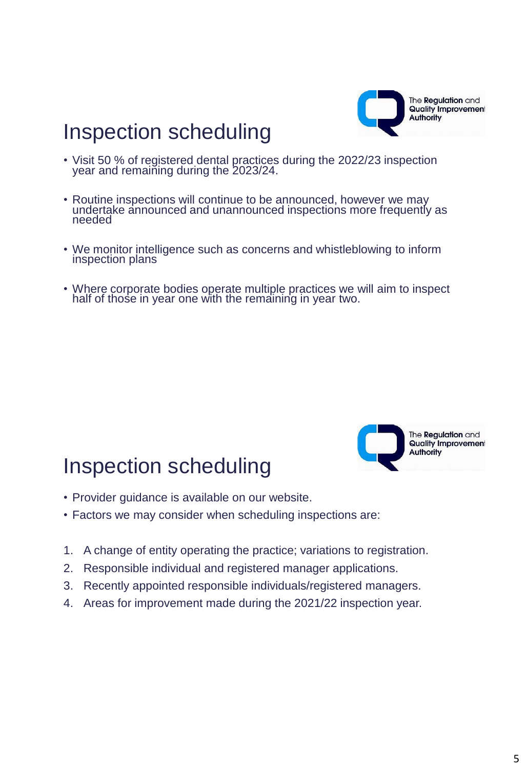

# Inspection scheduling

- Visit 50 % of registered dental practices during the 2022/23 inspection year and remaining during the 2023/24.
- Routine inspections will continue to be announced, however we may undertake announced and unannounced inspections more frequently as needed
- We monitor intelligence such as concerns and whistleblowing to inform inspection plans
- Where corporate bodies operate multiple practices we will aim to inspect half of those in year one with the remaining in year two.

# Inspection scheduling



- Provider guidance is available on our website.
- Factors we may consider when scheduling inspections are:
- 1. A change of entity operating the practice; variations to registration.
- 2. Responsible individual and registered manager applications.
- 3. Recently appointed responsible individuals/registered managers.
- 4. Areas for improvement made during the 2021/22 inspection year.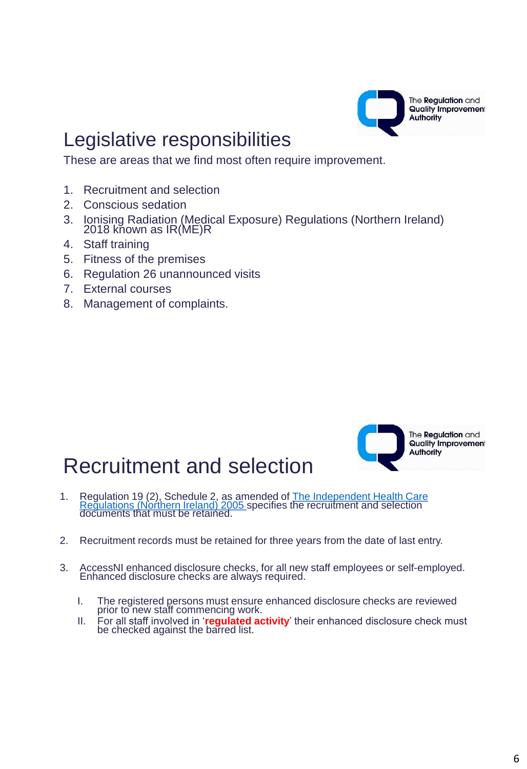

# Legislative responsibilities

These are areas that we find most often require improvement.

- 1. Recruitment and selection
- 2. Conscious sedation
- 3. Ionising Radiation (Medical Exposure) Regulations (Northern Ireland) 2018 kňown as IR(ME)R
- 4. Staff training
- 5. Fitness of the premises
- 6. Regulation 26 unannounced visits
- 7. External courses
- 8. Management of complaints.

## Recruitment and selection



The **Regulation** and **Quality Improvement Authority** 

- 1. Regulation 19 (2), Schedule 2, as amended of The Independent Health Care [Regulations \(Northern Ireland\) 2005](https://www.legislation.gov.uk/nisr/2005/174/pdfs/nisr_20050174_en.pdf) specifies the recruitment and selection documents that must be retained.
- 2. Recruitment records must be retained for three years from the date of last entry.
- 3. AccessNI enhanced disclosure checks, for all new staff employees or self-employed. Enhanced disclosure checks are always required.
	- I. The registered persons must ensure enhanced disclosure checks are reviewed prior to new staff commencing work.
	- II. For all staff involved in '**regulated activity**' their enhanced disclosure check must be checked against the barred list.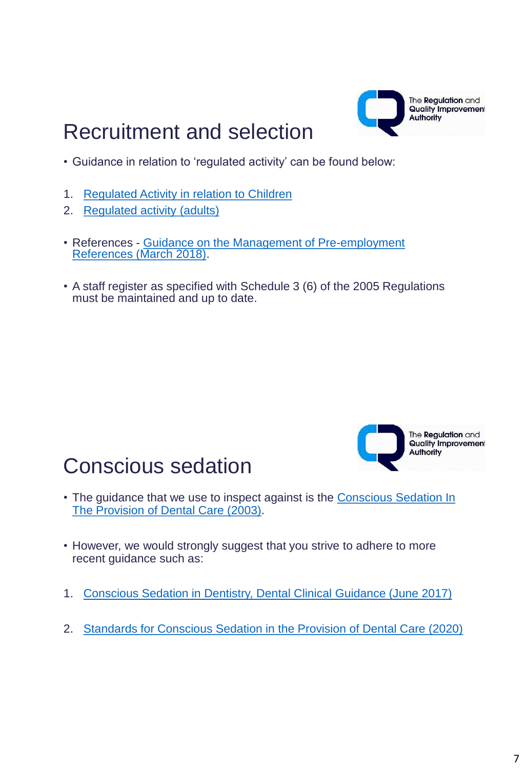

#### Recruitment and selection

- Guidance in relation to 'regulated activity' can be found below:
- 1. [Regulated Activity in relation to Children](https://www.health-ni.gov.uk/sites/default/files/publications/dhssps/regulated-activity-children.pdf)
- 2. [Regulated activity \(adults\)](https://www.health-ni.gov.uk/sites/default/files/publications/dhssps/regulated-activity-adults.pdf)
- References [Guidance on the Management of Pre-employment](https://www.rqia.org.uk/RQIA/files/ff/ffd8da99-1b98-45f6-a65e-3feb8b389cf5.pdf)  [References \(March 2018\)](https://www.rqia.org.uk/RQIA/files/ff/ffd8da99-1b98-45f6-a65e-3feb8b389cf5.pdf).
- A staff register as specified with Schedule 3 (6) of the 2005 Regulations must be maintained and up to date.



# Conscious sedation

- The guidance that we use to inspect against is the [Conscious Sedation In](https://www.rqia.org.uk/RQIA/files/bc/bcb0650d-8660-4d5f-940f-ea3b60ecf5f6.pdf)  [The Provision of Dental Care \(2003\)](https://www.rqia.org.uk/RQIA/files/bc/bcb0650d-8660-4d5f-940f-ea3b60ecf5f6.pdf).
- However, we would strongly suggest that you strive to adhere to more recent guidance such as:
- 1. [Conscious Sedation in Dentistry, Dental Clinical Guidance \(June 2017\)](https://www.sdcep.org.uk/media/iegenn4c/sdcep-conscious-sedation-guidance.pdf)
- 2. [Standards for Conscious Sedation in the Provision of Dental Care \(2020\)](https://www.saad.org.uk/IACSD 2020.pdf)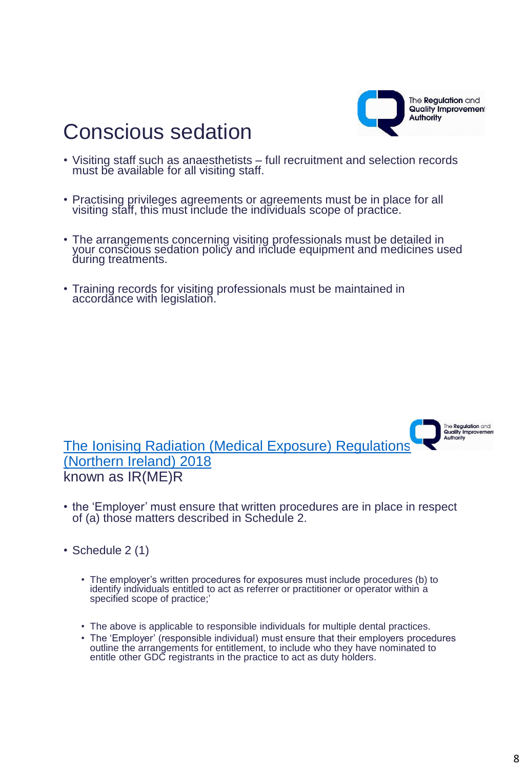

> The **Regulation** and Quality Improvement

# Conscious sedation

- Visiting staff such as anaesthetists full recruitment and selection records must be available for all visiting staff.
- Practising privileges agreements or agreements must be in place for all visiting staff, this must include the individuals scope of practice.
- The arrangements concerning visiting professionals must be detailed in your conscious sedation policy and include equipment and medicines used during treatments.
- Training records for visiting professionals must be maintained in accordance with legislation.

Authority [The Ionising Radiation \(Medical Exposure\) Regulations](https://www.legislation.gov.uk/nisr/2018/17/pdfs/nisr_20180017_en.pdf)  [\(Northern Ireland\) 2018](https://www.legislation.gov.uk/nisr/2018/17/pdfs/nisr_20180017_en.pdf)  known as IR(ME)R

- the 'Employer' must ensure that written procedures are in place in respect of (a) those matters described in Schedule 2.
- Schedule 2 (1)
	- The employer's written procedures for exposures must include procedures (b) to identify individuals entitled to act as referrer or practitioner or operator within a specified scope of practice;'
	- The above is applicable to responsible individuals for multiple dental practices.
	- The 'Employer' (responsible individual) must ensure that their employers procedures outline the arrangements for entitlement, to include who they have nominated to entitle other GDC registrants in the practice to act as duty holders.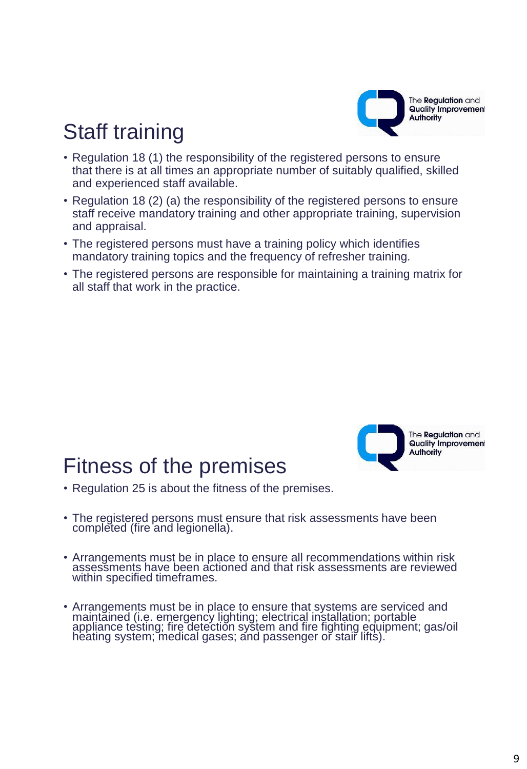

# Staff training

- Regulation 18 (1) the responsibility of the registered persons to ensure that there is at all times an appropriate number of suitably qualified, skilled and experienced staff available.
- Regulation 18 (2) (a) the responsibility of the registered persons to ensure staff receive mandatory training and other appropriate training, supervision and appraisal.
- The registered persons must have a training policy which identifies mandatory training topics and the frequency of refresher training.
- The registered persons are responsible for maintaining a training matrix for all staff that work in the practice.

#### Fitness of the premises



- Regulation 25 is about the fitness of the premises.
- The registered persons must ensure that risk assessments have been completed (fire and legionella).
- Arrangements must be in place to ensure all recommendations within risk assessments have been actioned and that risk assessments are reviewed within specified timeframes.
- Arrangements must be in place to ensure that systems are serviced and maintained (i.e. emergency lighting; electrical installation; portable appliance testing; fire detection system and fire fighting equipment; gas/oil heating system; medical gases; and passenger or stair lifts).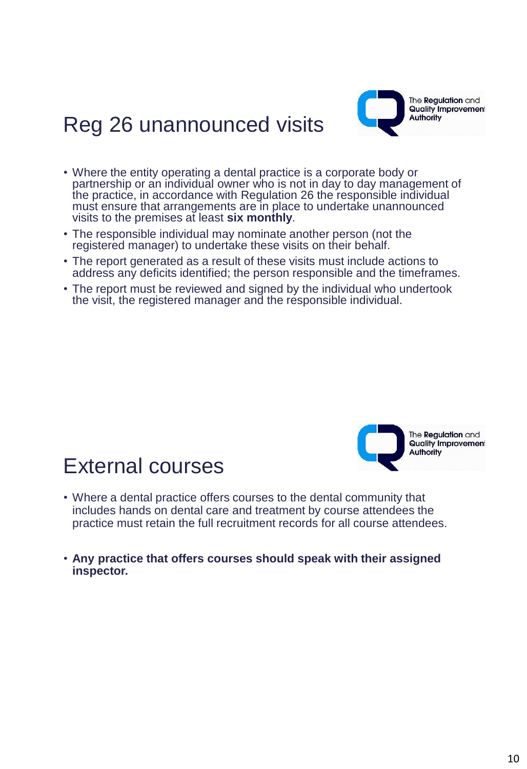

# Reg 26 unannounced visits

- Where the entity operating a dental practice is a corporate body or partnership or an individual owner who is not in day to day management of the practice, in accordance with Regulation 26 the responsible individual must ensure that arrangements are in place to undertake unannounced visits to the premises at least **six monthly**.
- The responsible individual may nominate another person (not the registered manager) to undertake these visits on their behalf.
- The report generated as a result of these visits must include actions to address any deficits identified; the person responsible and the timeframes.
- The report must be reviewed and signed by the individual who undertook the visit, the registered manager and the responsible individual.



#### External courses

- Where a dental practice offers courses to the dental community that includes hands on dental care and treatment by course attendees the practice must retain the full recruitment records for all course attendees.
- **Any practice that offers courses should speak with their assigned inspector.**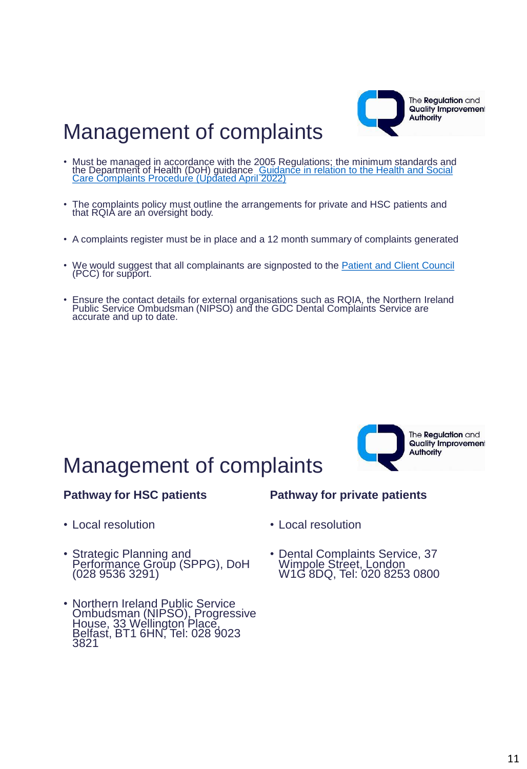

#### Management of complaints

- Must be managed in accordance with the 2005 Regulations; the minimum standards and the Department of Health (DoH) guidance Guidance in relation to the Health and Social [Care Complaints Procedure \(Updated April 2022\)](https://www.health-ni.gov.uk/sites/default/files/publications/health/doh-guidance-hsc-complaints-procedure-apr-22.PDF)
- The complaints policy must outline the arrangements for private and HSC patients and that RQIA are an oversight body.
- A complaints register must be in place and a 12 month summary of complaints generated
- We would suggest that all complainants are signposted to the [Patient and Client Council](https://pcc-ni.net/)  (PCC) for support.
- Ensure the contact details for external organisations such as RQIA, the Northern Ireland Public Service Ombudsman (NIPSO) and the GDC Dental Complaints Service are accurate and up to date.



The **Regulation** and **Quality Improvement Authority** 

## Management of complaints

#### **Pathway for HSC patients**

**Pathway for private patients**

- Local resolution
- Strategic Planning and Performance Group (SPPG), DoH (028 9536 3291)
- Northern Ireland Public Service Ombudsman (NIPSO), Progressive House, 33 Wellington Place, Belfast, BT1 6HN, Tel: 028 9023 3821
- Local resolution
- Dental Complaints Service, 37 Wimpole Street, London W1G 8DQ, Tel: 020 8253 0800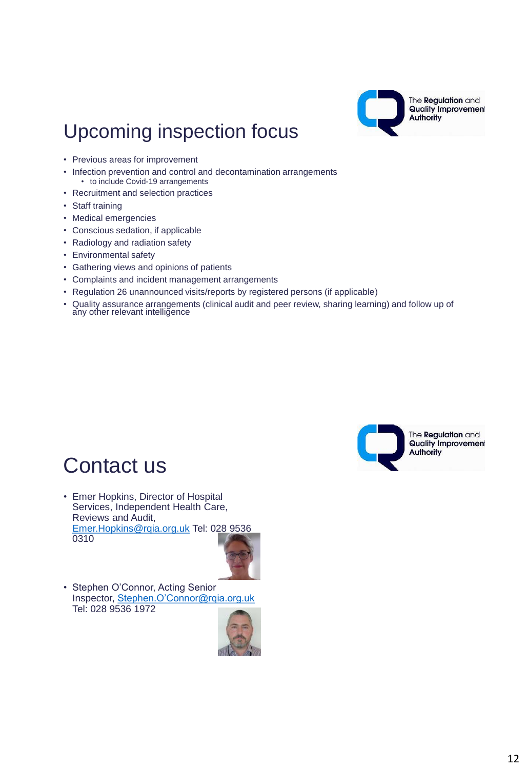

#### Upcoming inspection focus

- Previous areas for improvement
- Infection prevention and control and decontamination arrangements • to include Covid-19 arrangements
- Recruitment and selection practices
- Staff training
- Medical emergencies
- Conscious sedation, if applicable
- Radiology and radiation safety
- Environmental safety
- Gathering views and opinions of patients
- Complaints and incident management arrangements
- Regulation 26 unannounced visits/reports by registered persons (if applicable)
- Quality assurance arrangements (clinical audit and peer review, sharing learning) and follow up of any other relevant intelligence



#### Contact us

• Emer Hopkins, Director of Hospital Services, Independent Health Care, Reviews and Audit, [Emer.Hopkins@rqia.org.uk](mailto:Emer.Hopkins@rqia.org.uk) Tel: 028 9536 0310



• Stephen O'Connor, Acting Senior Inspector, [Stephen.O'Connor@rqia.org.uk](mailto:Stephen.o) Tel: 028 9536 1972

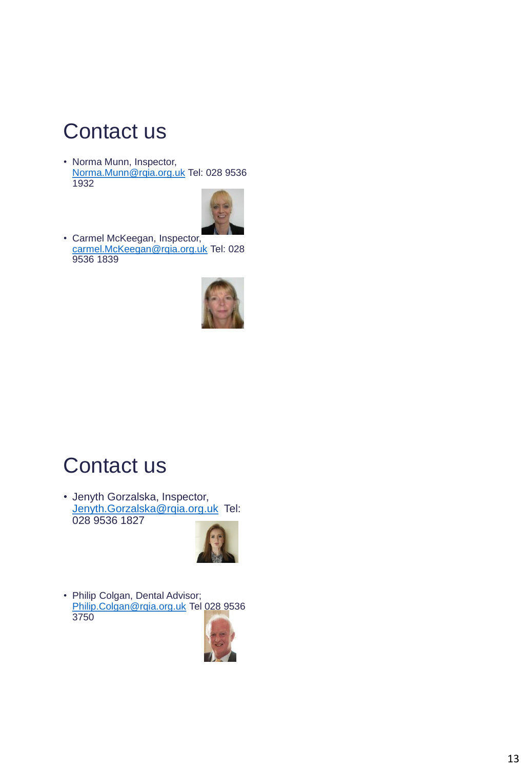# Contact us

• Norma Munn, Inspector, [Norma.Munn@rqia.org.uk](mailto:Norma.Munn@rqia.org.uk) Tel: 028 9536 1932



• Carmel McKeegan, Inspector, [carmel.McKeegan@rqia.org.uk](mailto:carmel.McKeegan@rqia.org.uk) Tel: 028 9536 1839



#### Contact us

• Jenyth Gorzalska, Inspector, [Jenyth.Gorzalska@rqia.org.uk](mailto:Jenyth.Gorzalska@rqia.org.uk) Tel: 028 9536 1827



• Philip Colgan, Dental Advisor; [Philip.Colgan@rqia.org.uk](mailto:Philip.Colgan@rqia.org.uk) Tel 028 9536 3750